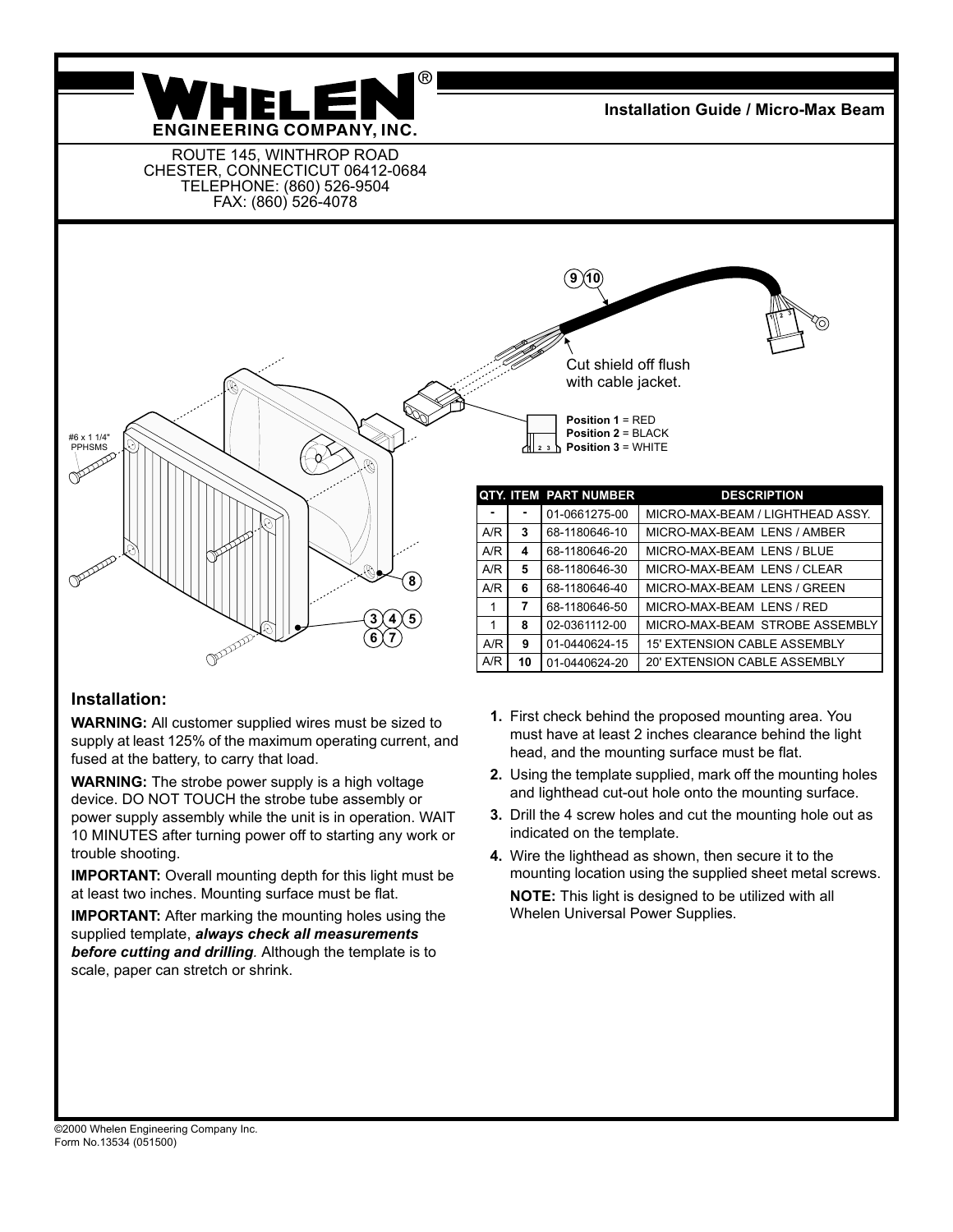

**Installation Guide / Micro-Max Beam**

ROUTE 145, WINTHROP ROAD CHESTER, CONNECTICUT 06412-0684 TELEPHONE: (860) 526-9504 FAX: (860) 526-4078



## **Installation:**

**WARNING:** All customer supplied wires must be sized to supply at least 125% of the maximum operating current, and fused at the battery, to carry that load.

**WARNING:** The strobe power supply is a high voltage device. DO NOT TOUCH the strobe tube assembly or power supply assembly while the unit is in operation. WAIT 10 MINUTES after turning power off to starting any work or trouble shooting.

**IMPORTANT:** Overall mounting depth for this light must be at least two inches. Mounting surface must be flat.

**IMPORTANT:** After marking the mounting holes using the supplied template, *always check all measurements before cutting and drilling.* Although the template is to scale, paper can stretch or shrink.

- **1.** First check behind the proposed mounting area. You must have at least 2 inches clearance behind the light head, and the mounting surface must be flat.
- **2.** Using the template supplied, mark off the mounting holes and lighthead cut-out hole onto the mounting surface.
- **3.** Drill the 4 screw holes and cut the mounting hole out as indicated on the template.
- **4.** Wire the lighthead as shown, then secure it to the mounting location using the supplied sheet metal screws. **NOTE:** This light is designed to be utilized with all Whelen Universal Power Supplies.